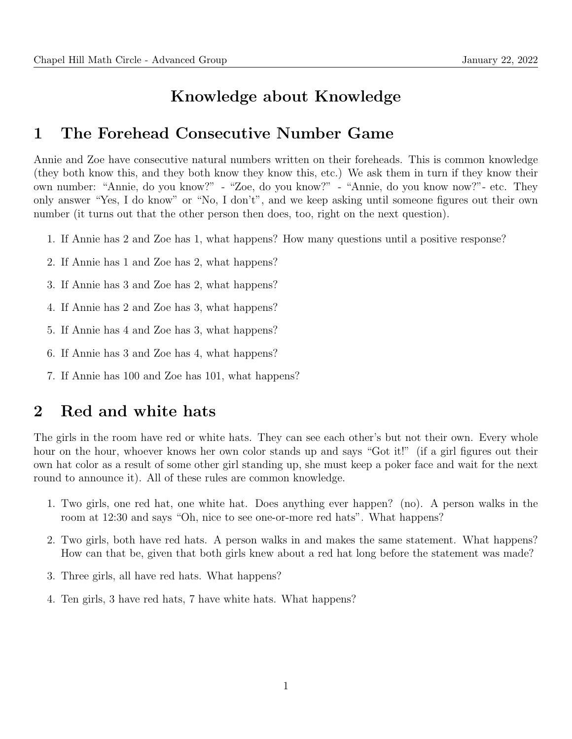### Knowledge about Knowledge

#### 1 The Forehead Consecutive Number Game

Annie and Zoe have consecutive natural numbers written on their foreheads. This is common knowledge (they both know this, and they both know they know this, etc.) We ask them in turn if they know their own number: "Annie, do you know?" - "Zoe, do you know?" - "Annie, do you know now?"- etc. They only answer "Yes, I do know" or "No, I don't", and we keep asking until someone figures out their own number (it turns out that the other person then does, too, right on the next question).

- 1. If Annie has 2 and Zoe has 1, what happens? How many questions until a positive response?
- 2. If Annie has 1 and Zoe has 2, what happens?
- 3. If Annie has 3 and Zoe has 2, what happens?
- 4. If Annie has 2 and Zoe has 3, what happens?
- 5. If Annie has 4 and Zoe has 3, what happens?
- 6. If Annie has 3 and Zoe has 4, what happens?
- 7. If Annie has 100 and Zoe has 101, what happens?

#### 2 Red and white hats

The girls in the room have red or white hats. They can see each other's but not their own. Every whole hour on the hour, whoever knows her own color stands up and says "Got it!" (if a girl figures out their own hat color as a result of some other girl standing up, she must keep a poker face and wait for the next round to announce it). All of these rules are common knowledge.

- 1. Two girls, one red hat, one white hat. Does anything ever happen? (no). A person walks in the room at 12:30 and says "Oh, nice to see one-or-more red hats". What happens?
- 2. Two girls, both have red hats. A person walks in and makes the same statement. What happens? How can that be, given that both girls knew about a red hat long before the statement was made?
- 3. Three girls, all have red hats. What happens?
- 4. Ten girls, 3 have red hats, 7 have white hats. What happens?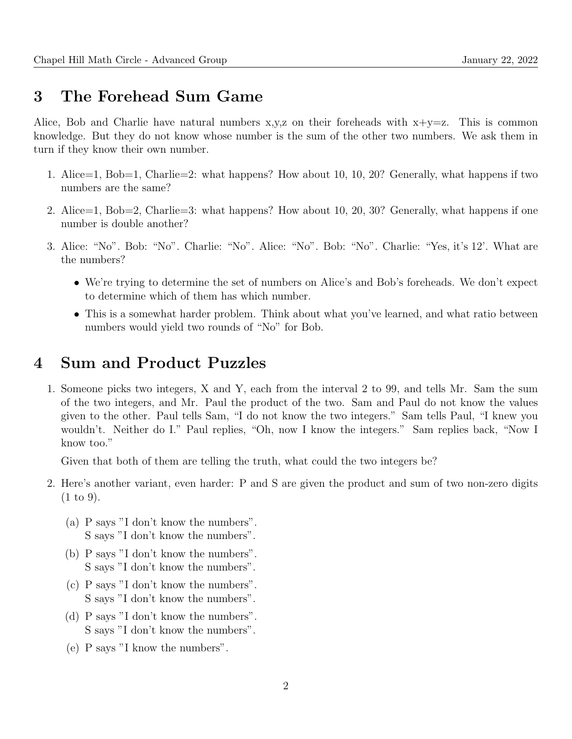## 3 The Forehead Sum Game

Alice, Bob and Charlie have natural numbers  $x,y,z$  on their foreheads with  $x+y=z$ . This is common knowledge. But they do not know whose number is the sum of the other two numbers. We ask them in turn if they know their own number.

- 1. Alice=1, Bob=1, Charlie=2: what happens? How about 10, 10, 20? Generally, what happens if two numbers are the same?
- 2. Alice=1, Bob=2, Charlie=3: what happens? How about 10, 20, 30? Generally, what happens if one number is double another?
- 3. Alice: "No". Bob: "No". Charlie: "No". Alice: "No". Bob: "No". Charlie: "Yes, it's 12'. What are the numbers?
	- We're trying to determine the set of numbers on Alice's and Bob's foreheads. We don't expect to determine which of them has which number.
	- This is a somewhat harder problem. Think about what you've learned, and what ratio between numbers would yield two rounds of "No" for Bob.

# 4 Sum and Product Puzzles

1. Someone picks two integers, X and Y, each from the interval 2 to 99, and tells Mr. Sam the sum of the two integers, and Mr. Paul the product of the two. Sam and Paul do not know the values given to the other. Paul tells Sam, "I do not know the two integers." Sam tells Paul, "I knew you wouldn't. Neither do I." Paul replies, "Oh, now I know the integers." Sam replies back, "Now I know too."

Given that both of them are telling the truth, what could the two integers be?

- 2. Here's another variant, even harder: P and S are given the product and sum of two non-zero digits (1 to 9).
	- (a) P says "I don't know the numbers". S says "I don't know the numbers".
	- (b) P says "I don't know the numbers". S says "I don't know the numbers".
	- (c) P says "I don't know the numbers". S says "I don't know the numbers".
	- (d) P says "I don't know the numbers". S says "I don't know the numbers".
	- (e) P says "I know the numbers".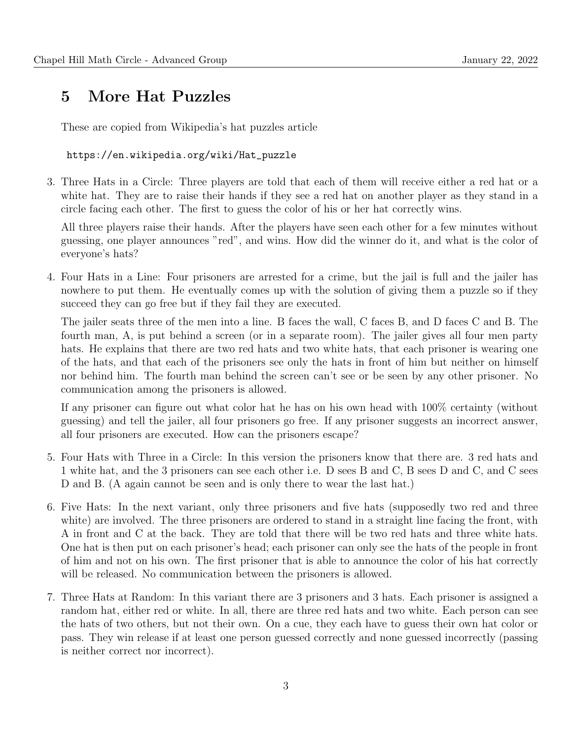# 5 More Hat Puzzles

These are copied from Wikipedia's hat puzzles article

https://en.wikipedia.org/wiki/Hat\_puzzle

3. Three Hats in a Circle: Three players are told that each of them will receive either a red hat or a white hat. They are to raise their hands if they see a red hat on another player as they stand in a circle facing each other. The first to guess the color of his or her hat correctly wins.

All three players raise their hands. After the players have seen each other for a few minutes without guessing, one player announces "red", and wins. How did the winner do it, and what is the color of everyone's hats?

4. Four Hats in a Line: Four prisoners are arrested for a crime, but the jail is full and the jailer has nowhere to put them. He eventually comes up with the solution of giving them a puzzle so if they succeed they can go free but if they fail they are executed.

The jailer seats three of the men into a line. B faces the wall, C faces B, and D faces C and B. The fourth man, A, is put behind a screen (or in a separate room). The jailer gives all four men party hats. He explains that there are two red hats and two white hats, that each prisoner is wearing one of the hats, and that each of the prisoners see only the hats in front of him but neither on himself nor behind him. The fourth man behind the screen can't see or be seen by any other prisoner. No communication among the prisoners is allowed.

If any prisoner can figure out what color hat he has on his own head with 100% certainty (without guessing) and tell the jailer, all four prisoners go free. If any prisoner suggests an incorrect answer, all four prisoners are executed. How can the prisoners escape?

- 5. Four Hats with Three in a Circle: In this version the prisoners know that there are. 3 red hats and 1 white hat, and the 3 prisoners can see each other i.e. D sees B and C, B sees D and C, and C sees D and B. (A again cannot be seen and is only there to wear the last hat.)
- 6. Five Hats: In the next variant, only three prisoners and five hats (supposedly two red and three white) are involved. The three prisoners are ordered to stand in a straight line facing the front, with A in front and C at the back. They are told that there will be two red hats and three white hats. One hat is then put on each prisoner's head; each prisoner can only see the hats of the people in front of him and not on his own. The first prisoner that is able to announce the color of his hat correctly will be released. No communication between the prisoners is allowed.
- 7. Three Hats at Random: In this variant there are 3 prisoners and 3 hats. Each prisoner is assigned a random hat, either red or white. In all, there are three red hats and two white. Each person can see the hats of two others, but not their own. On a cue, they each have to guess their own hat color or pass. They win release if at least one person guessed correctly and none guessed incorrectly (passing is neither correct nor incorrect).